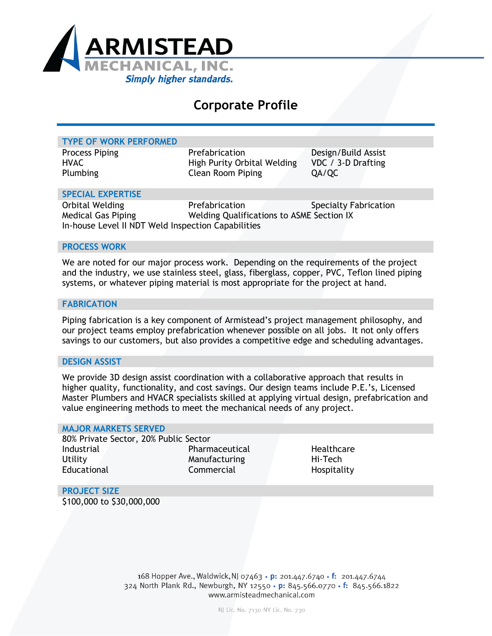

# **Corporate Profile**

| <b>TYPE OF WORK PERFORMED</b>                                                                      |                                                                           |                                                    |
|----------------------------------------------------------------------------------------------------|---------------------------------------------------------------------------|----------------------------------------------------|
| <b>Process Piping</b><br><b>HVAC</b><br>Plumbing                                                   | Prefabrication<br>High Purity Orbital Welding<br><b>Clean Room Piping</b> | Design/Build Assist<br>VDC / 3-D Drafting<br>QA/QC |
| <b>SPECIAL EXPERTISE</b>                                                                           |                                                                           |                                                    |
| Orbital Welding<br><b>Medical Gas Piping</b><br>In-house Level II NDT Weld Inspection Capabilities | Prefabrication<br>Welding Qualifications to ASME Section IX               | <b>Specialty Fabrication</b>                       |

#### **PROCESS WORK**

We are noted for our major process work. Depending on the requirements of the project and the industry, we use stainless steel, glass, fiberglass, copper, PVC, Teflon lined piping systems, or whatever piping material is most appropriate for the project at hand.

#### **FABRICATION**

Piping fabrication is a key component of Armistead's project management philosophy, and our project teams employ prefabrication whenever possible on all jobs. It not only offers savings to our customers, but also provides a competitive edge and scheduling advantages.

#### **DESIGN ASSIST**

We provide 3D design assist coordination with a collaborative approach that results in higher quality, functionality, and cost savings. Our design teams include P.E.'s, Licensed Master Plumbers and HVACR specialists skilled at applying virtual design, prefabrication and value engineering methods to meet the mechanical needs of any project.

#### **MAJOR MARKETS SERVED**

80% Private Sector, 20% Public Sector Industrial Pharmaceutical Healthcare Utility Manufacturing Hi-Tech Educational Commercial Educational Educational Commercial Hospitality

**PROJECT SIZE** \$100,000 to \$30,000,000

> 168 Hopper Ave., Waldwick, NJ 07463 · p: 201.447.6740 · f: 201.447.6744 324 North Plank Rd., Newburgh, NY 12550 • p: 845.566.0770 • f: 845.566.1822 www.armisteadmechanical.com

> > NJ Lic. No. 7130 NY Lic. No. 730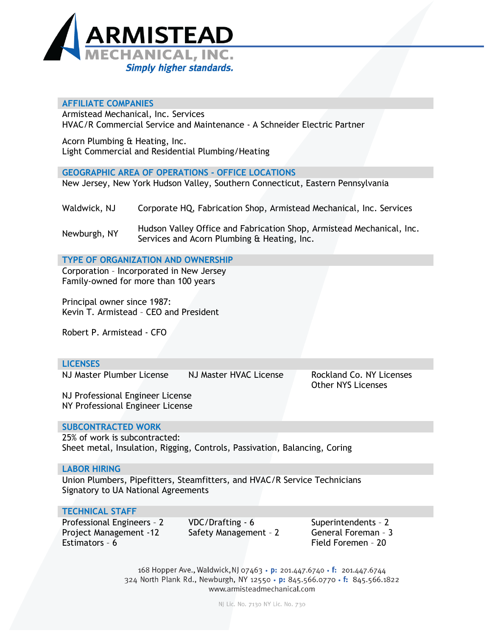

# **AFFILIATE COMPANIES**

Armistead Mechanical, Inc. Services HVAC/R Commercial Service and Maintenance - A Schneider Electric Partner

Acorn Plumbing & Heating, Inc. Light Commercial and Residential Plumbing/Heating

**GEOGRAPHIC AREA OF OPERATIONS - OFFICE LOCATIONS** New Jersey, New York Hudson Valley, Southern Connecticut, Eastern Pennsylvania

Waldwick, NJ Corporate HQ, Fabrication Shop, Armistead Mechanical, Inc. Services

Newburgh, NY Hudson Valley Office and Fabrication Shop, Armistead Mechanical, Inc. Services and Acorn Plumbing & Heating, Inc.

**TYPE OF ORGANIZATION AND OWNERSHIP**

Corporation – Incorporated in New Jersey Family-owned for more than 100 years

Principal owner since 1987: Kevin T. Armistead – CEO and President

Robert P. Armistead - CFO

# **LICENSES**

NJ Master Plumber License NJ Master HVAC License Rockland Co. NY Licenses

Other NYS Licenses

NJ Professional Engineer License NY Professional Engineer License

# **SUBCONTRACTED WORK**

25% of work is subcontracted: Sheet metal, Insulation, Rigging, Controls, Passivation, Balancing, Coring

#### **LABOR HIRING**

Union Plumbers, Pipefitters, Steamfitters, and HVAC/R Service Technicians Signatory to UA National Agreements

# **TECHNICAL STAFF**

Professional Engineers – 2 Project Management -12 Estimators – 6 Field Foremen – 20

VDC/Drafting - 6 Safety Management – 2 Superintendents – 2 General Foreman – 3

168 Hopper Ave., Waldwick, NJ 07463 • p: 201.447.6740 • f: 201.447.6744 324 North Plank Rd., Newburgh, NY 12550 · p: 845.566.0770 · f: 845.566.1822 www.armisteadmechanical.com